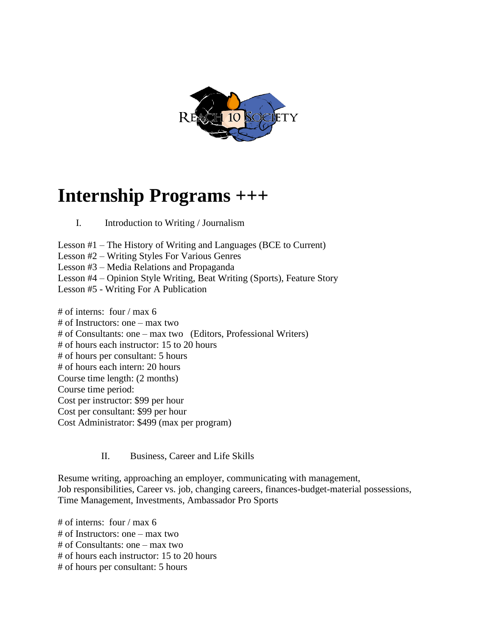

# **Internship Programs +++**

## I. Introduction to Writing / Journalism

Lesson #1 – The History of Writing and Languages (BCE to Current)

Lesson #2 – Writing Styles For Various Genres

Lesson #3 – Media Relations and Propaganda

Lesson #4 – Opinion Style Writing, Beat Writing (Sports), Feature Story

Lesson #5 - Writing For A Publication

# of interns: four / max 6 # of Instructors: one – max two # of Consultants: one – max two (Editors, Professional Writers) # of hours each instructor: 15 to 20 hours # of hours per consultant: 5 hours # of hours each intern: 20 hours Course time length: (2 months) Course time period: Cost per instructor: \$99 per hour Cost per consultant: \$99 per hour Cost Administrator: \$499 (max per program)

### II. Business, Career and Life Skills

Resume writing, approaching an employer, communicating with management, Job responsibilities, Career vs. job, changing careers, finances-budget-material possessions, Time Management, Investments, Ambassador Pro Sports

# of interns: four / max 6 # of Instructors: one – max two # of Consultants: one – max two # of hours each instructor: 15 to 20 hours # of hours per consultant: 5 hours